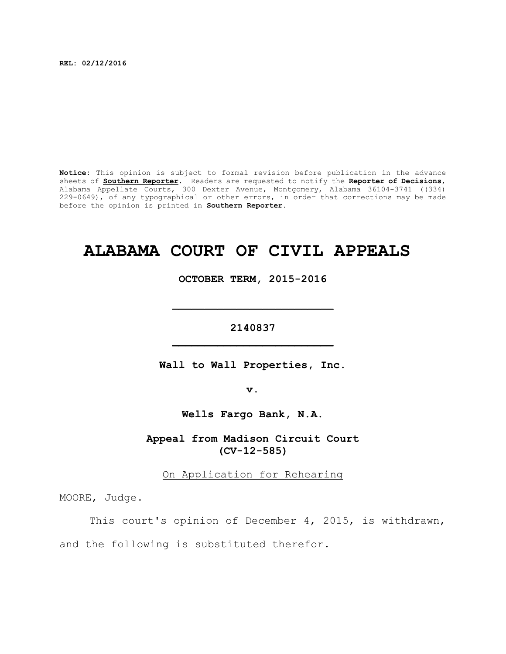**REL: 02/12/2016**

**Notice:** This opinion is subject to formal revision before publication in the advance sheets of **Southern Reporter**. Readers are requested to notify the **Reporter of Decisions**, Alabama Appellate Courts, 300 Dexter Avenue, Montgomery, Alabama 36104-3741 ((334) 229-0649), of any typographical or other errors, in order that corrections may be made before the opinion is printed in **Southern Reporter**.

# **ALABAMA COURT OF CIVIL APPEALS**

**OCTOBER TERM, 2015-2016**

**\_\_\_\_\_\_\_\_\_\_\_\_\_\_\_\_\_\_\_\_\_\_\_\_\_**

**2140837 \_\_\_\_\_\_\_\_\_\_\_\_\_\_\_\_\_\_\_\_\_\_\_\_\_**

**Wall to Wall Properties, Inc.**

**v.**

**Wells Fargo Bank, N.A.**

**Appeal from Madison Circuit Court (CV-12-585)**

On Application for Rehearing

MOORE, Judge.

This court's opinion of December 4, 2015, is withdrawn,

and the following is substituted therefor.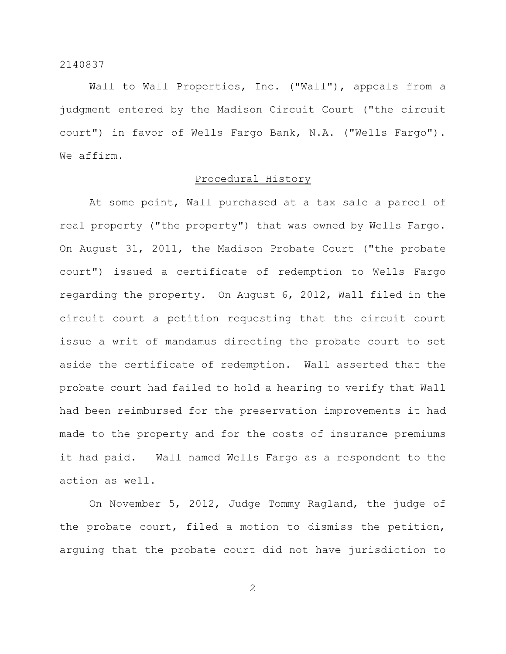Wall to Wall Properties, Inc. ("Wall"), appeals from a judgment entered by the Madison Circuit Court ("the circuit court") in favor of Wells Fargo Bank, N.A. ("Wells Fargo"). We affirm.

# Procedural History

At some point, Wall purchased at a tax sale a parcel of real property ("the property") that was owned by Wells Fargo. On August 31, 2011, the Madison Probate Court ("the probate court") issued a certificate of redemption to Wells Fargo regarding the property. On August 6, 2012, Wall filed in the circuit court a petition requesting that the circuit court issue a writ of mandamus directing the probate court to set aside the certificate of redemption. Wall asserted that the probate court had failed to hold a hearing to verify that Wall had been reimbursed for the preservation improvements it had made to the property and for the costs of insurance premiums it had paid. Wall named Wells Fargo as a respondent to the action as well.

On November 5, 2012, Judge Tommy Ragland, the judge of the probate court, filed a motion to dismiss the petition, arguing that the probate court did not have jurisdiction to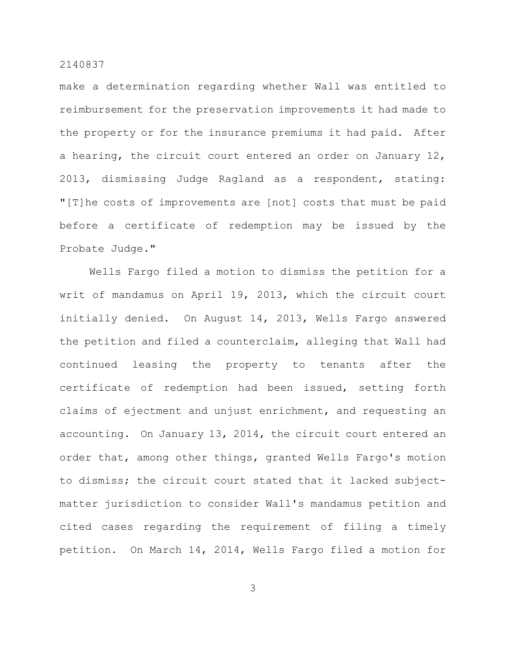make a determination regarding whether Wall was entitled to reimbursement for the preservation improvements it had made to the property or for the insurance premiums it had paid. After a hearing, the circuit court entered an order on January 12, 2013, dismissing Judge Ragland as a respondent, stating: "[T]he costs of improvements are [not] costs that must be paid before a certificate of redemption may be issued by the Probate Judge."

Wells Fargo filed a motion to dismiss the petition for a writ of mandamus on April 19, 2013, which the circuit court initially denied. On August 14, 2013, Wells Fargo answered the petition and filed a counterclaim, alleging that Wall had continued leasing the property to tenants after the certificate of redemption had been issued, setting forth claims of ejectment and unjust enrichment, and requesting an accounting. On January 13, 2014, the circuit court entered an order that, among other things, granted Wells Fargo's motion to dismiss; the circuit court stated that it lacked subjectmatter jurisdiction to consider Wall's mandamus petition and cited cases regarding the requirement of filing a timely petition. On March 14, 2014, Wells Fargo filed a motion for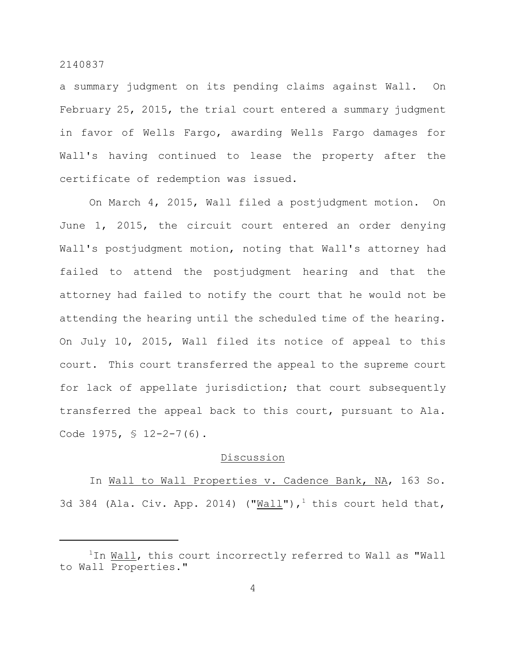a summary judgment on its pending claims against Wall. On February 25, 2015, the trial court entered a summary judgment in favor of Wells Fargo, awarding Wells Fargo damages for Wall's having continued to lease the property after the certificate of redemption was issued.

On March 4, 2015, Wall filed a postjudgment motion. On June 1, 2015, the circuit court entered an order denying Wall's postjudgment motion, noting that Wall's attorney had failed to attend the postjudgment hearing and that the attorney had failed to notify the court that he would not be attending the hearing until the scheduled time of the hearing. On July 10, 2015, Wall filed its notice of appeal to this court. This court transferred the appeal to the supreme court for lack of appellate jurisdiction; that court subsequently transferred the appeal back to this court, pursuant to Ala. Code 1975, § 12-2-7(6).

#### Discussion

In Wall to Wall Properties v. Cadence Bank, NA, 163 So. 3d 384 (Ala. Civ. App. 2014) ("Wall"),<sup>1</sup> this court held that,

 $1$ In Wall, this court incorrectly referred to Wall as "Wall to Wall Properties."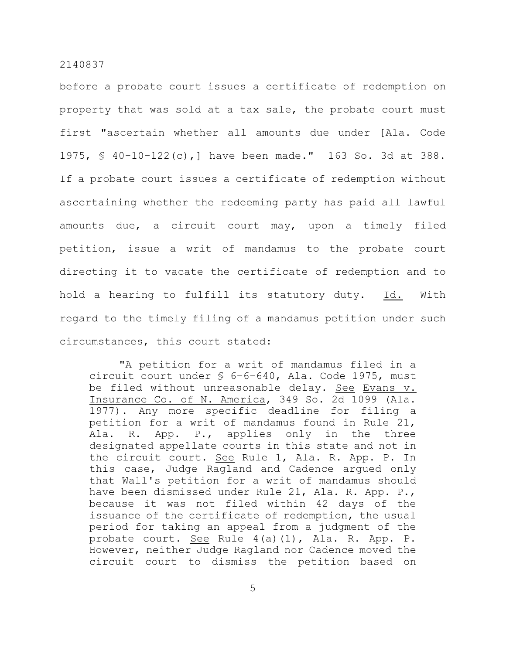before a probate court issues a certificate of redemption on property that was sold at a tax sale, the probate court must first "ascertain whether all amounts due under [Ala. Code 1975, § 40-10-122(c),] have been made." 163 So. 3d at 388. If a probate court issues a certificate of redemption without ascertaining whether the redeeming party has paid all lawful amounts due, a circuit court may, upon a timely filed petition, issue a writ of mandamus to the probate court directing it to vacate the certificate of redemption and to hold a hearing to fulfill its statutory duty. Id. With regard to the timely filing of a mandamus petition under such circumstances, this court stated:

"A petition for a writ of mandamus filed in a circuit court under § 6–6–640, Ala. Code 1975, must be filed without unreasonable delay. See Evans v. Insurance Co. of N. America, 349 So. 2d 1099 (Ala. 1977). Any more specific deadline for filing a petition for a writ of mandamus found in Rule 21, Ala. R. App. P., applies only in the three designated appellate courts in this state and not in the circuit court. See Rule 1, Ala. R. App. P. In this case, Judge Ragland and Cadence argued only that Wall's petition for a writ of mandamus should have been dismissed under Rule 21, Ala. R. App. P., because it was not filed within 42 days of the issuance of the certificate of redemption, the usual period for taking an appeal from a judgment of the probate court. See Rule 4(a)(1), Ala. R. App. P. However, neither Judge Ragland nor Cadence moved the circuit court to dismiss the petition based on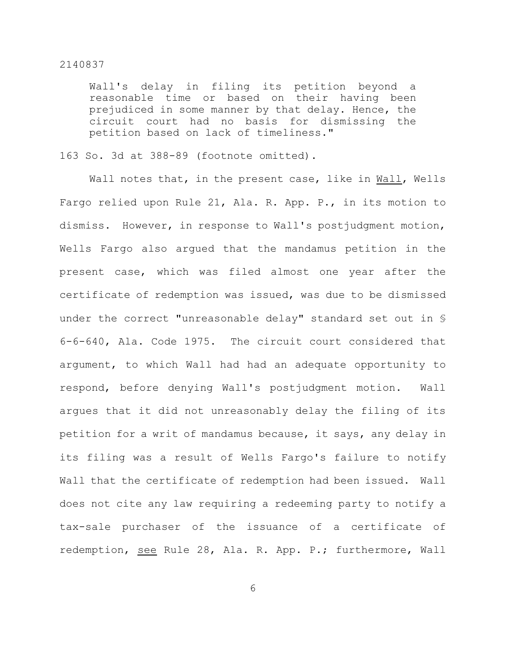Wall's delay in filing its petition beyond a reasonable time or based on their having been prejudiced in some manner by that delay. Hence, the circuit court had no basis for dismissing the petition based on lack of timeliness."

#### 163 So. 3d at 388-89 (footnote omitted).

Wall notes that, in the present case, like in Wall, Wells Fargo relied upon Rule 21, Ala. R. App. P., in its motion to dismiss. However, in response to Wall's postjudgment motion, Wells Fargo also argued that the mandamus petition in the present case, which was filed almost one year after the certificate of redemption was issued, was due to be dismissed under the correct "unreasonable delay" standard set out in § 6-6-640, Ala. Code 1975. The circuit court considered that argument, to which Wall had had an adequate opportunity to respond, before denying Wall's postjudgment motion. Wall argues that it did not unreasonably delay the filing of its petition for a writ of mandamus because, it says, any delay in its filing was a result of Wells Fargo's failure to notify Wall that the certificate of redemption had been issued. Wall does not cite any law requiring a redeeming party to notify a tax-sale purchaser of the issuance of a certificate of redemption, see Rule 28, Ala. R. App. P.; furthermore, Wall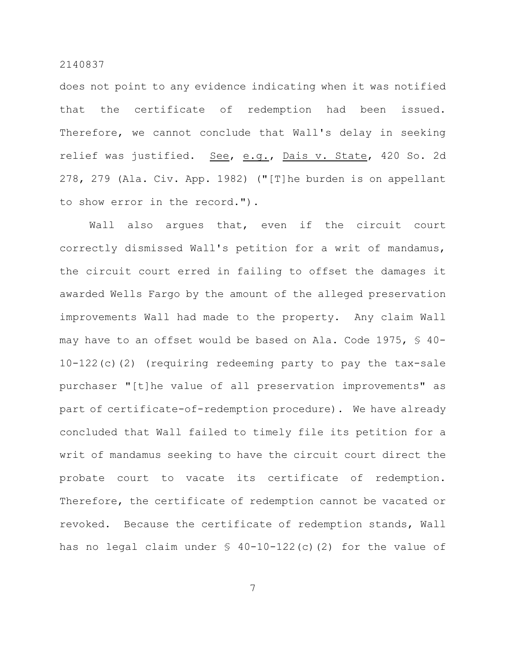does not point to any evidence indicating when it was notified that the certificate of redemption had been issued. Therefore, we cannot conclude that Wall's delay in seeking relief was justified. See, e.g., Dais v. State, 420 So. 2d 278, 279 (Ala. Civ. App. 1982) ("[T]he burden is on appellant to show error in the record.").

Wall also argues that, even if the circuit court correctly dismissed Wall's petition for a writ of mandamus, the circuit court erred in failing to offset the damages it awarded Wells Fargo by the amount of the alleged preservation improvements Wall had made to the property. Any claim Wall may have to an offset would be based on Ala. Code 1975, § 40- 10-122(c)(2) (requiring redeeming party to pay the tax-sale purchaser "[t]he value of all preservation improvements" as part of certificate-of-redemption procedure). We have already concluded that Wall failed to timely file its petition for a writ of mandamus seeking to have the circuit court direct the probate court to vacate its certificate of redemption. Therefore, the certificate of redemption cannot be vacated or revoked. Because the certificate of redemption stands, Wall has no legal claim under  $\frac{1}{2}$  40-10-122(c)(2) for the value of